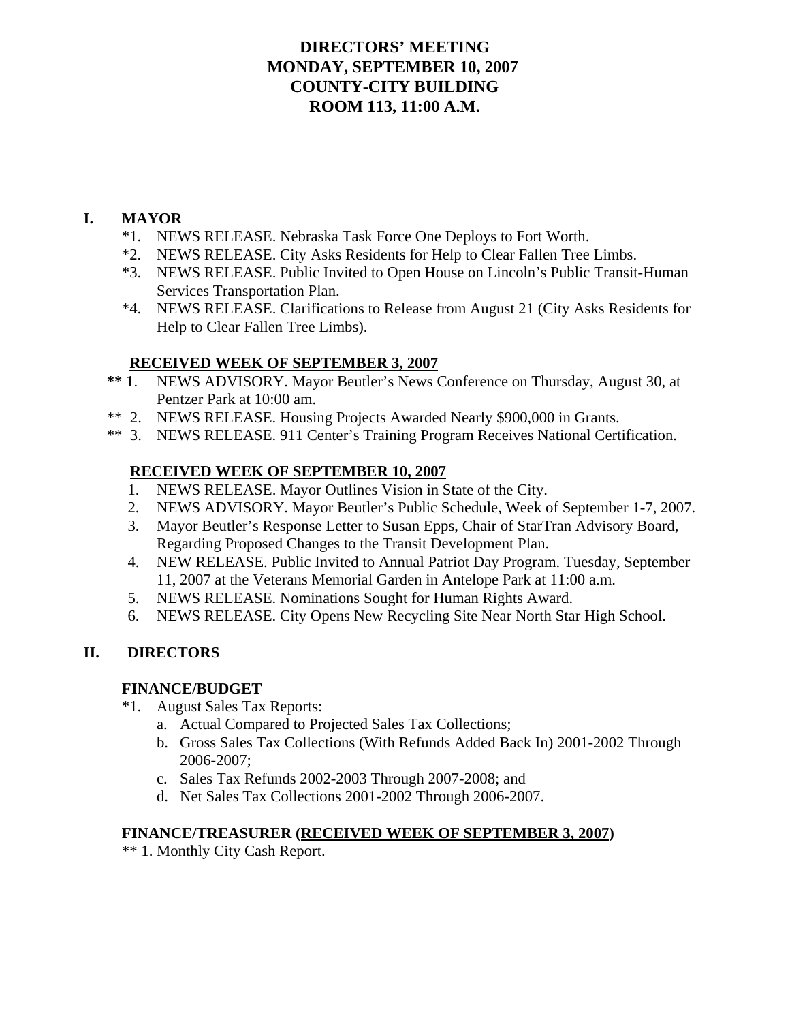# **DIRECTORS' MEETING MONDAY, SEPTEMBER 10, 2007 COUNTY-CITY BUILDING ROOM 113, 11:00 A.M.**

# **I. MAYOR**

- \*1. NEWS RELEASE. Nebraska Task Force One Deploys to Fort Worth.
- \*2. NEWS RELEASE. City Asks Residents for Help to Clear Fallen Tree Limbs.
- \*3. NEWS RELEASE. Public Invited to Open House on Lincoln's Public Transit-Human Services Transportation Plan.
- \*4. NEWS RELEASE. Clarifications to Release from August 21 (City Asks Residents for Help to Clear Fallen Tree Limbs).

# **RECEIVED WEEK OF SEPTEMBER 3, 2007**

- **\*\*** 1. NEWS ADVISORY. Mayor Beutler's News Conference on Thursday, August 30, at Pentzer Park at 10:00 am.
- \*\* 2. NEWS RELEASE. Housing Projects Awarded Nearly \$900,000 in Grants.
- \*\* 3. NEWS RELEASE. 911 Center's Training Program Receives National Certification.

# **RECEIVED WEEK OF SEPTEMBER 10, 2007**

- 1. NEWS RELEASE. Mayor Outlines Vision in State of the City.
- 2. NEWS ADVISORY. Mayor Beutler's Public Schedule, Week of September 1-7, 2007.
- 3. Mayor Beutler's Response Letter to Susan Epps, Chair of StarTran Advisory Board, Regarding Proposed Changes to the Transit Development Plan.
- 4. NEW RELEASE. Public Invited to Annual Patriot Day Program. Tuesday, September 11, 2007 at the Veterans Memorial Garden in Antelope Park at 11:00 a.m.
- 5. NEWS RELEASE. Nominations Sought for Human Rights Award.
- 6. NEWS RELEASE. City Opens New Recycling Site Near North Star High School.

# **II. DIRECTORS**

# **FINANCE/BUDGET**

- \*1. August Sales Tax Reports:
	- a. Actual Compared to Projected Sales Tax Collections;
	- b. Gross Sales Tax Collections (With Refunds Added Back In) 2001-2002 Through 2006-2007;
	- c. Sales Tax Refunds 2002-2003 Through 2007-2008; and
	- d. Net Sales Tax Collections 2001-2002 Through 2006-2007.

### **FINANCE/TREASURER (RECEIVED WEEK OF SEPTEMBER 3, 2007)**

\*\* 1. Monthly City Cash Report.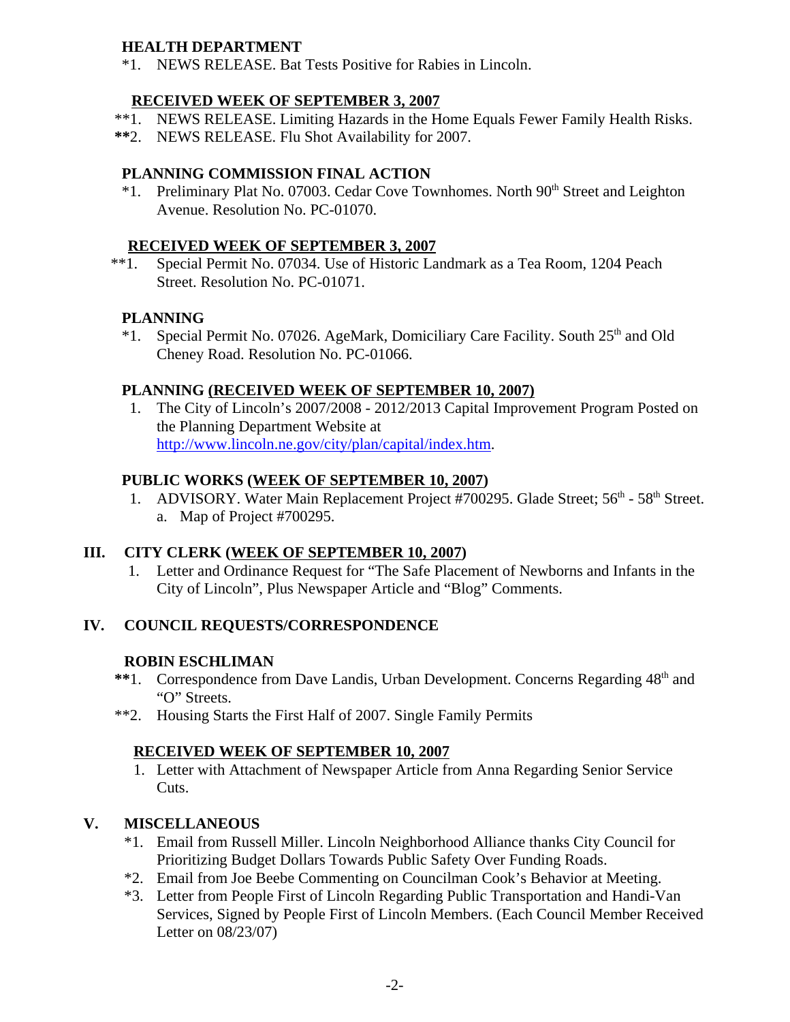# **HEALTH DEPARTMENT**

\*1. NEWS RELEASE. Bat Tests Positive for Rabies in Lincoln.

# **RECEIVED WEEK OF SEPTEMBER 3, 2007**

- \*\*1. NEWS RELEASE. Limiting Hazards in the Home Equals Fewer Family Health Risks.
- **\*\***2. NEWS RELEASE. Flu Shot Availability for 2007.

# **PLANNING COMMISSION FINAL ACTION**

\*1. Preliminary Plat No. 07003. Cedar Cove Townhomes. North 90<sup>th</sup> Street and Leighton Avenue. Resolution No. PC-01070.

# **RECEIVED WEEK OF SEPTEMBER 3, 2007**

 \*\*1. Special Permit No. 07034. Use of Historic Landmark as a Tea Room, 1204 Peach Street. Resolution No. PC-01071.

# **PLANNING**

\*1. Special Permit No. 07026. AgeMark, Domiciliary Care Facility. South 25<sup>th</sup> and Old Cheney Road. Resolution No. PC-01066.

# **PLANNING (RECEIVED WEEK OF SEPTEMBER 10, 2007)**

 1. The City of Lincoln's 2007/2008 - 2012/2013 Capital Improvement Program Posted on the Planning Department Website at http://www.lincoln.ne.gov/city/plan/capital/index.htm.

# **PUBLIC WORKS (WEEK OF SEPTEMBER 10, 2007)**

1. ADVISORY. Water Main Replacement Project #700295. Glade Street: 56<sup>th</sup> - 58<sup>th</sup> Street. a. Map of Project #700295.

# **III. CITY CLERK (WEEK OF SEPTEMBER 10, 2007)**

 1. Letter and Ordinance Request for "The Safe Placement of Newborns and Infants in the City of Lincoln", Plus Newspaper Article and "Blog" Comments.

# **IV. COUNCIL REQUESTS/CORRESPONDENCE**

# **ROBIN ESCHLIMAN**

- \*\*1. Correspondence from Dave Landis, Urban Development. Concerns Regarding  $48<sup>th</sup>$  and "O" Streets.
- \*\*2. Housing Starts the First Half of 2007. Single Family Permits

# **RECEIVED WEEK OF SEPTEMBER 10, 2007**

1. Letter with Attachment of Newspaper Article from Anna Regarding Senior Service Cuts.

# **V. MISCELLANEOUS**

- \*1. Email from Russell Miller. Lincoln Neighborhood Alliance thanks City Council for Prioritizing Budget Dollars Towards Public Safety Over Funding Roads.
- \*2. Email from Joe Beebe Commenting on Councilman Cook's Behavior at Meeting.
- \*3. Letter from People First of Lincoln Regarding Public Transportation and Handi-Van Services, Signed by People First of Lincoln Members. (Each Council Member Received Letter on 08/23/07)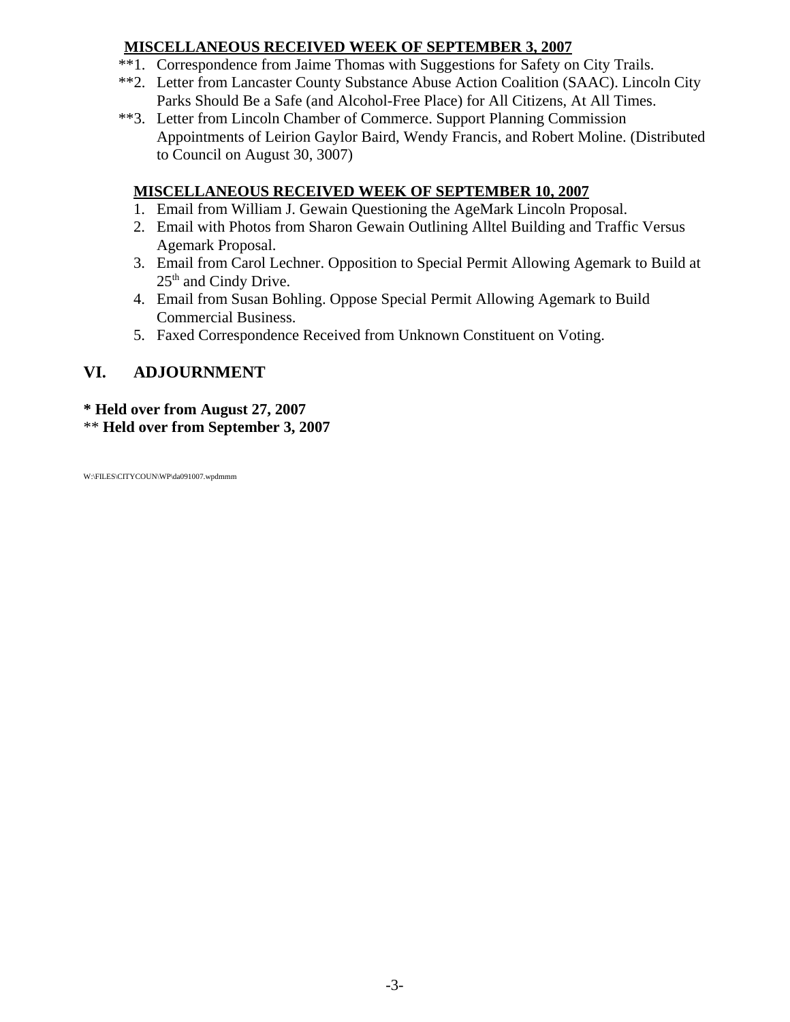# **MISCELLANEOUS RECEIVED WEEK OF SEPTEMBER 3, 2007**

- \*\*1. Correspondence from Jaime Thomas with Suggestions for Safety on City Trails.
- \*\*2. Letter from Lancaster County Substance Abuse Action Coalition (SAAC). Lincoln City Parks Should Be a Safe (and Alcohol-Free Place) for All Citizens, At All Times.
- \*\*3. Letter from Lincoln Chamber of Commerce. Support Planning Commission Appointments of Leirion Gaylor Baird, Wendy Francis, and Robert Moline. (Distributed to Council on August 30, 3007)

# **MISCELLANEOUS RECEIVED WEEK OF SEPTEMBER 10, 2007**

- 1. Email from William J. Gewain Questioning the AgeMark Lincoln Proposal.
- 2. Email with Photos from Sharon Gewain Outlining Alltel Building and Traffic Versus Agemark Proposal.
- 3. Email from Carol Lechner. Opposition to Special Permit Allowing Agemark to Build at 25<sup>th</sup> and Cindy Drive.
- 4. Email from Susan Bohling. Oppose Special Permit Allowing Agemark to Build Commercial Business.
- 5. Faxed Correspondence Received from Unknown Constituent on Voting.

# **VI. ADJOURNMENT**

# **\* Held over from August 27, 2007**

\*\* **Held over from September 3, 2007**

W:\FILES\CITYCOUN\WP\da091007.wpdmmm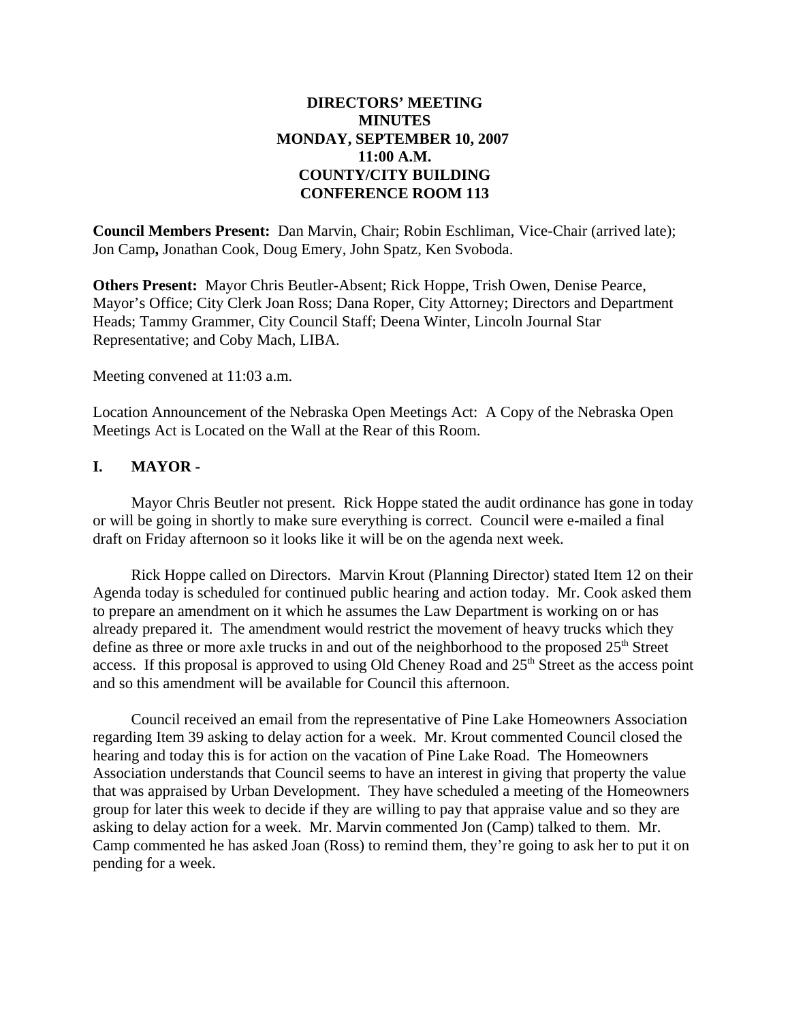## **DIRECTORS' MEETING MINUTES MONDAY, SEPTEMBER 10, 2007 11:00 A.M. COUNTY/CITY BUILDING CONFERENCE ROOM 113**

**Council Members Present:** Dan Marvin, Chair; Robin Eschliman, Vice-Chair (arrived late); Jon Camp**,** Jonathan Cook, Doug Emery, John Spatz, Ken Svoboda.

**Others Present:** Mayor Chris Beutler-Absent; Rick Hoppe, Trish Owen, Denise Pearce, Mayor's Office; City Clerk Joan Ross; Dana Roper, City Attorney; Directors and Department Heads; Tammy Grammer, City Council Staff; Deena Winter, Lincoln Journal Star Representative; and Coby Mach, LIBA.

Meeting convened at 11:03 a.m.

Location Announcement of the Nebraska Open Meetings Act: A Copy of the Nebraska Open Meetings Act is Located on the Wall at the Rear of this Room.

### **I. MAYOR -**

Mayor Chris Beutler not present. Rick Hoppe stated the audit ordinance has gone in today or will be going in shortly to make sure everything is correct. Council were e-mailed a final draft on Friday afternoon so it looks like it will be on the agenda next week.

Rick Hoppe called on Directors. Marvin Krout (Planning Director) stated Item 12 on their Agenda today is scheduled for continued public hearing and action today. Mr. Cook asked them to prepare an amendment on it which he assumes the Law Department is working on or has already prepared it. The amendment would restrict the movement of heavy trucks which they define as three or more axle trucks in and out of the neighborhood to the proposed  $25<sup>th</sup>$  Street access. If this proposal is approved to using Old Cheney Road and  $25<sup>th</sup>$  Street as the access point and so this amendment will be available for Council this afternoon.

Council received an email from the representative of Pine Lake Homeowners Association regarding Item 39 asking to delay action for a week. Mr. Krout commented Council closed the hearing and today this is for action on the vacation of Pine Lake Road. The Homeowners Association understands that Council seems to have an interest in giving that property the value that was appraised by Urban Development. They have scheduled a meeting of the Homeowners group for later this week to decide if they are willing to pay that appraise value and so they are asking to delay action for a week. Mr. Marvin commented Jon (Camp) talked to them. Mr. Camp commented he has asked Joan (Ross) to remind them, they're going to ask her to put it on pending for a week.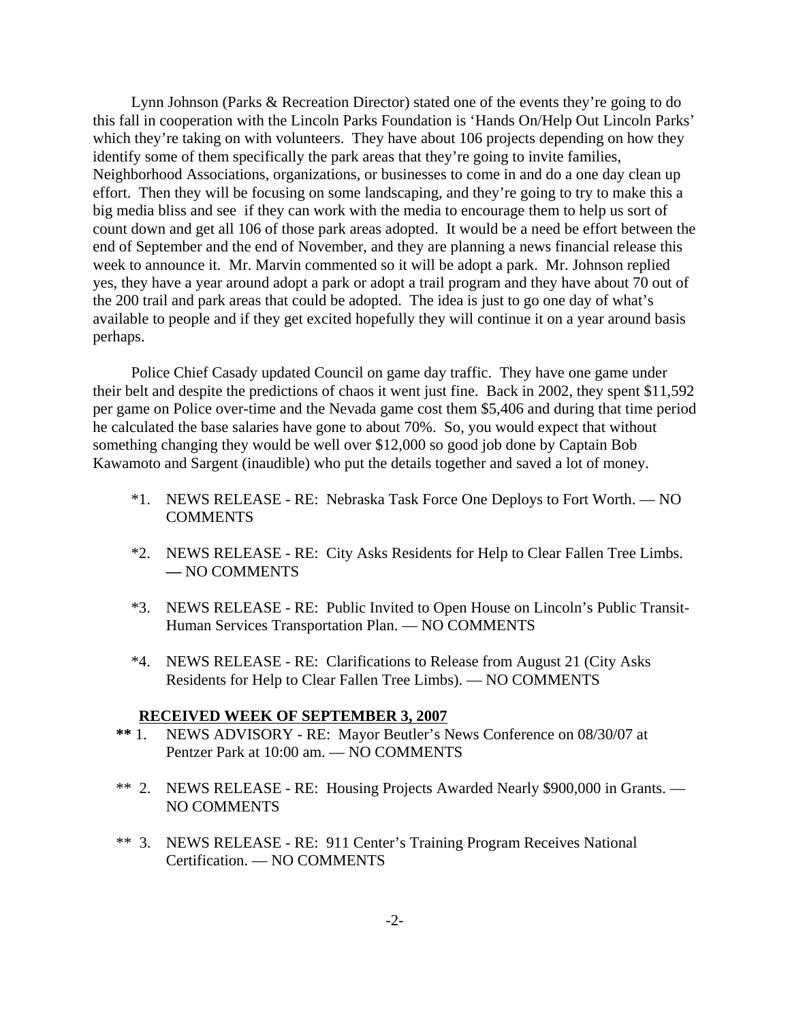Lynn Johnson (Parks & Recreation Director) stated one of the events they're going to do this fall in cooperation with the Lincoln Parks Foundation is 'Hands On/Help Out Lincoln Parks' which they're taking on with volunteers. They have about 106 projects depending on how they identify some of them specifically the park areas that they're going to invite families, Neighborhood Associations, organizations, or businesses to come in and do a one day clean up effort. Then they will be focusing on some landscaping, and they're going to try to make this a big media bliss and see if they can work with the media to encourage them to help us sort of count down and get all 106 of those park areas adopted. It would be a need be effort between the end of September and the end of November, and they are planning a news financial release this week to announce it. Mr. Marvin commented so it will be adopt a park. Mr. Johnson replied yes, they have a year around adopt a park or adopt a trail program and they have about 70 out of the 200 trail and park areas that could be adopted. The idea is just to go one day of what's available to people and if they get excited hopefully they will continue it on a year around basis perhaps.

Police Chief Casady updated Council on game day traffic. They have one game under their belt and despite the predictions of chaos it went just fine. Back in 2002, they spent \$11,592 per game on Police over-time and the Nevada game cost them \$5,406 and during that time period he calculated the base salaries have gone to about 70%. So, you would expect that without something changing they would be well over \$12,000 so good job done by Captain Bob Kawamoto and Sargent (inaudible) who put the details together and saved a lot of money.

- \*1. NEWS RELEASE RE: Nebraska Task Force One Deploys to Fort Worth. NO COMMENTS
- \*2. NEWS RELEASE RE: City Asks Residents for Help to Clear Fallen Tree Limbs. **—** NO COMMENTS
- \*3. NEWS RELEASE RE: Public Invited to Open House on Lincoln's Public Transit-Human Services Transportation Plan. — NO COMMENTS
- \*4. NEWS RELEASE RE: Clarifications to Release from August 21 (City Asks Residents for Help to Clear Fallen Tree Limbs). — NO COMMENTS

#### **RECEIVED WEEK OF SEPTEMBER 3, 2007**

- **\*\*** 1. NEWS ADVISORY RE: Mayor Beutler's News Conference on 08/30/07 at Pentzer Park at 10:00 am. — NO COMMENTS
- \*\* 2. NEWS RELEASE RE: Housing Projects Awarded Nearly \$900,000 in Grants. NO COMMENTS
- \*\* 3. NEWS RELEASE RE: 911 Center's Training Program Receives National Certification. — NO COMMENTS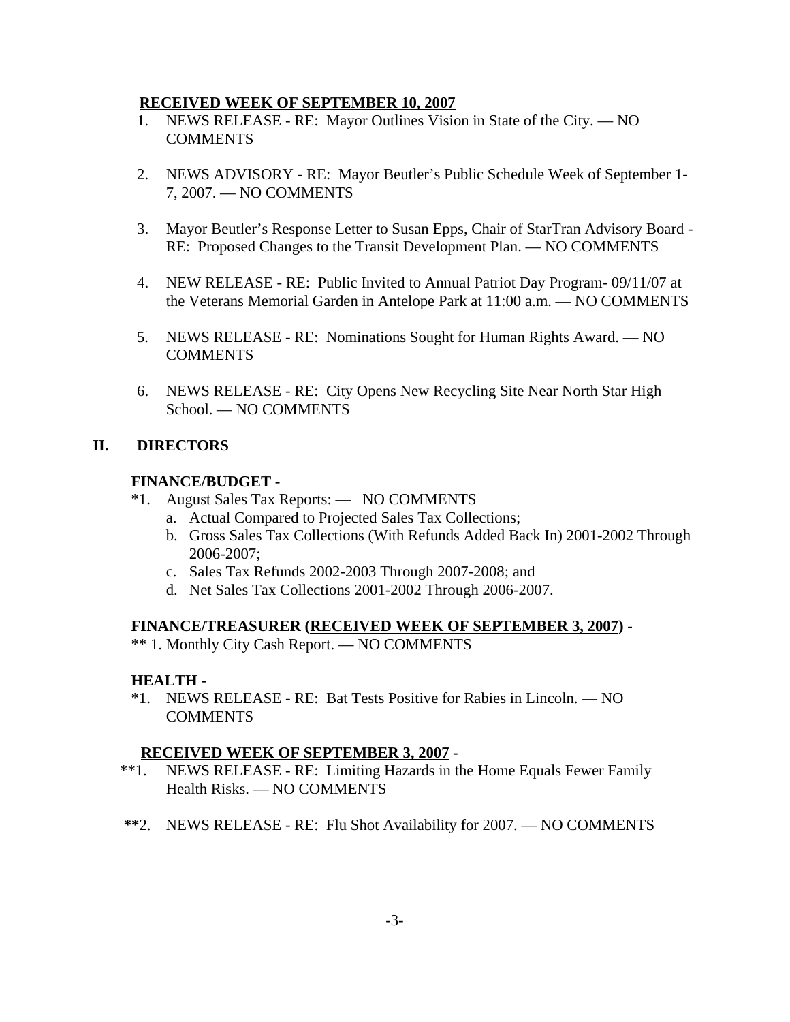#### **RECEIVED WEEK OF SEPTEMBER 10, 2007**

- 1. NEWS RELEASE RE: Mayor Outlines Vision in State of the City. NO **COMMENTS**
- 2. NEWS ADVISORY RE: Mayor Beutler's Public Schedule Week of September 1- 7, 2007. — NO COMMENTS
- 3. Mayor Beutler's Response Letter to Susan Epps, Chair of StarTran Advisory Board RE: Proposed Changes to the Transit Development Plan. — NO COMMENTS
- 4. NEW RELEASE RE: Public Invited to Annual Patriot Day Program- 09/11/07 at the Veterans Memorial Garden in Antelope Park at 11:00 a.m. — NO COMMENTS
- 5. NEWS RELEASE RE: Nominations Sought for Human Rights Award. NO **COMMENTS**
- 6. NEWS RELEASE RE: City Opens New Recycling Site Near North Star High School. — NO COMMENTS

### **II. DIRECTORS**

### **FINANCE/BUDGET -**

- \*1. August Sales Tax Reports: NO COMMENTS
	- a. Actual Compared to Projected Sales Tax Collections;
	- b. Gross Sales Tax Collections (With Refunds Added Back In) 2001-2002 Through 2006-2007;
	- c. Sales Tax Refunds 2002-2003 Through 2007-2008; and
	- d. Net Sales Tax Collections 2001-2002 Through 2006-2007.

### **FINANCE/TREASURER (RECEIVED WEEK OF SEPTEMBER 3, 2007)** -

\*\* 1. Monthly City Cash Report. — NO COMMENTS

### **HEALTH -**

\*1. NEWS RELEASE - RE: Bat Tests Positive for Rabies in Lincoln. — NO **COMMENTS** 

### **RECEIVED WEEK OF SEPTEMBER 3, 2007 -**

- \*\*1. NEWS RELEASE RE: Limiting Hazards in the Home Equals Fewer Family Health Risks. — NO COMMENTS
- **\*\***2. NEWS RELEASE RE: Flu Shot Availability for 2007. NO COMMENTS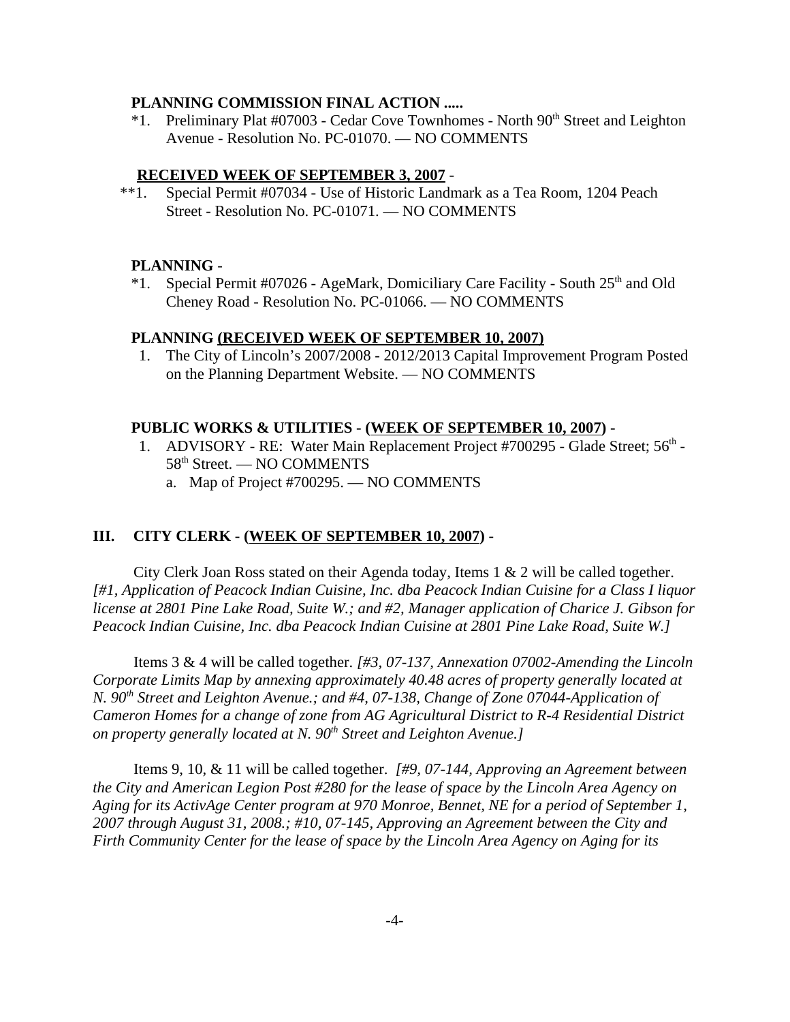#### **PLANNING COMMISSION FINAL ACTION .....**

 $*1.$  Preliminary Plat #07003 - Cedar Cove Townhomes - North  $90<sup>th</sup>$  Street and Leighton Avenue - Resolution No. PC-01070. — NO COMMENTS

#### **RECEIVED WEEK OF SEPTEMBER 3, 2007** -

 \*\*1. Special Permit #07034 - Use of Historic Landmark as a Tea Room, 1204 Peach Street - Resolution No. PC-01071. — NO COMMENTS

#### **PLANNING** -

\*1. Special Permit #07026 - AgeMark, Domiciliary Care Facility - South  $25<sup>th</sup>$  and Old Cheney Road - Resolution No. PC-01066. — NO COMMENTS

#### **PLANNING (RECEIVED WEEK OF SEPTEMBER 10, 2007)**

 1. The City of Lincoln's 2007/2008 - 2012/2013 Capital Improvement Program Posted on the Planning Department Website. — NO COMMENTS

#### **PUBLIC WORKS & UTILITIES - (WEEK OF SEPTEMBER 10, 2007) -**

- 1. ADVISORY RE: Water Main Replacement Project #700295 Glade Street;  $56<sup>th</sup>$  -58th Street. — NO COMMENTS
	- a. Map of Project #700295. NO COMMENTS

#### **III. CITY CLERK - (WEEK OF SEPTEMBER 10, 2007) -**

City Clerk Joan Ross stated on their Agenda today, Items 1 & 2 will be called together. *[#1, Application of Peacock Indian Cuisine, Inc. dba Peacock Indian Cuisine for a Class I liquor license at 2801 Pine Lake Road, Suite W.; and #2, Manager application of Charice J. Gibson for Peacock Indian Cuisine, Inc. dba Peacock Indian Cuisine at 2801 Pine Lake Road, Suite W.]* 

Items 3 & 4 will be called together. *[#3, 07-137, Annexation 07002-Amending the Lincoln Corporate Limits Map by annexing approximately 40.48 acres of property generally located at N.* 90<sup>th</sup> Street and Leighton Avenue.; and #4, 07-138, Change of Zone 07044-Application of *Cameron Homes for a change of zone from AG Agricultural District to R-4 Residential District on property generally located at N. 90th Street and Leighton Avenue.]* 

Items 9, 10, & 11 will be called together. *[#9, 07-144, Approving an Agreement between the City and American Legion Post #280 for the lease of space by the Lincoln Area Agency on Aging for its ActivAge Center program at 970 Monroe, Bennet, NE for a period of September 1, 2007 through August 31, 2008.; #10, 07-145, Approving an Agreement between the City and Firth Community Center for the lease of space by the Lincoln Area Agency on Aging for its*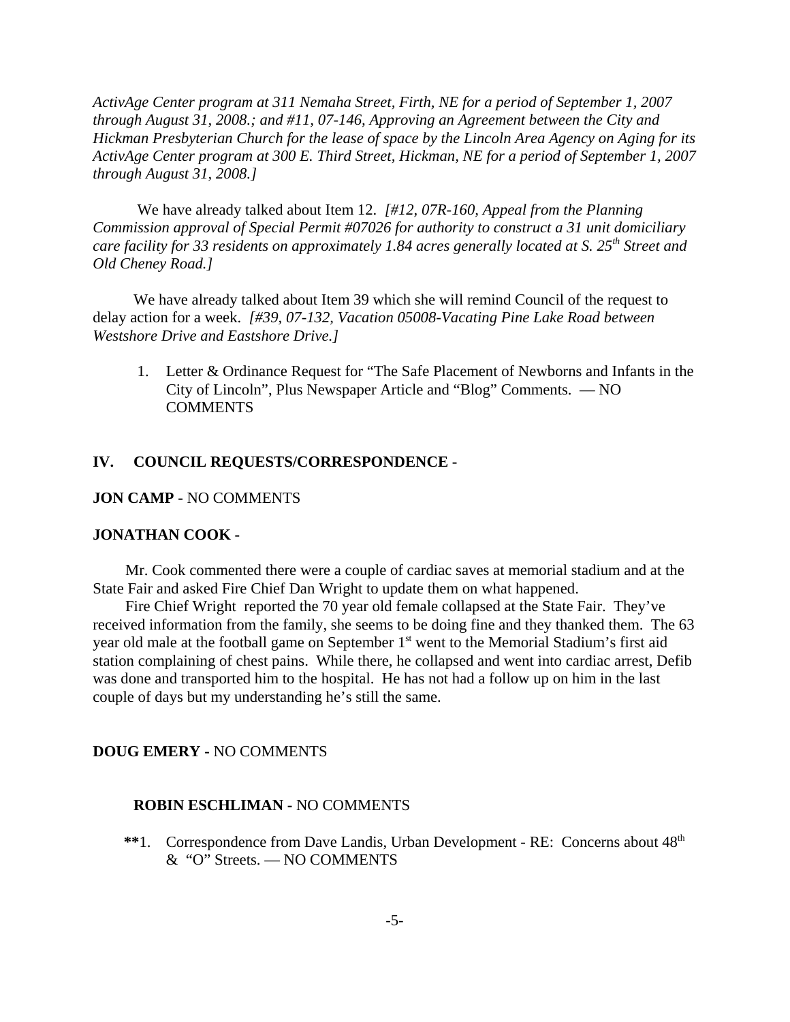*ActivAge Center program at 311 Nemaha Street, Firth, NE for a period of September 1, 2007 through August 31, 2008.; and #11, 07-146, Approving an Agreement between the City and Hickman Presbyterian Church for the lease of space by the Lincoln Area Agency on Aging for its ActivAge Center program at 300 E. Third Street, Hickman, NE for a period of September 1, 2007 through August 31, 2008.]* 

 We have already talked about Item 12. *[#12, 07R-160, Appeal from the Planning Commission approval of Special Permit #07026 for authority to construct a 31 unit domiciliary care facility for 33 residents on approximately 1.84 acres generally located at S. 25th Street and Old Cheney Road.]* 

We have already talked about Item 39 which she will remind Council of the request to delay action for a week. *[#39, 07-132, Vacation 05008-Vacating Pine Lake Road between Westshore Drive and Eastshore Drive.]*

 1. Letter & Ordinance Request for "The Safe Placement of Newborns and Infants in the City of Lincoln", Plus Newspaper Article and "Blog" Comments. — NO **COMMENTS** 

#### **IV. COUNCIL REQUESTS/CORRESPONDENCE -**

#### **JON CAMP -** NO COMMENTS

#### **JONATHAN COOK -**

Mr. Cook commented there were a couple of cardiac saves at memorial stadium and at the State Fair and asked Fire Chief Dan Wright to update them on what happened.

Fire Chief Wright reported the 70 year old female collapsed at the State Fair. They've received information from the family, she seems to be doing fine and they thanked them. The 63 year old male at the football game on September 1<sup>st</sup> went to the Memorial Stadium's first aid station complaining of chest pains. While there, he collapsed and went into cardiac arrest, Defib was done and transported him to the hospital. He has not had a follow up on him in the last couple of days but my understanding he's still the same.

#### **DOUG EMERY -** NO COMMENTS

#### **ROBIN ESCHLIMAN -** NO COMMENTS

\*\*1. Correspondence from Dave Landis, Urban Development - RE: Concerns about  $48<sup>th</sup>$ & "O" Streets. — NO COMMENTS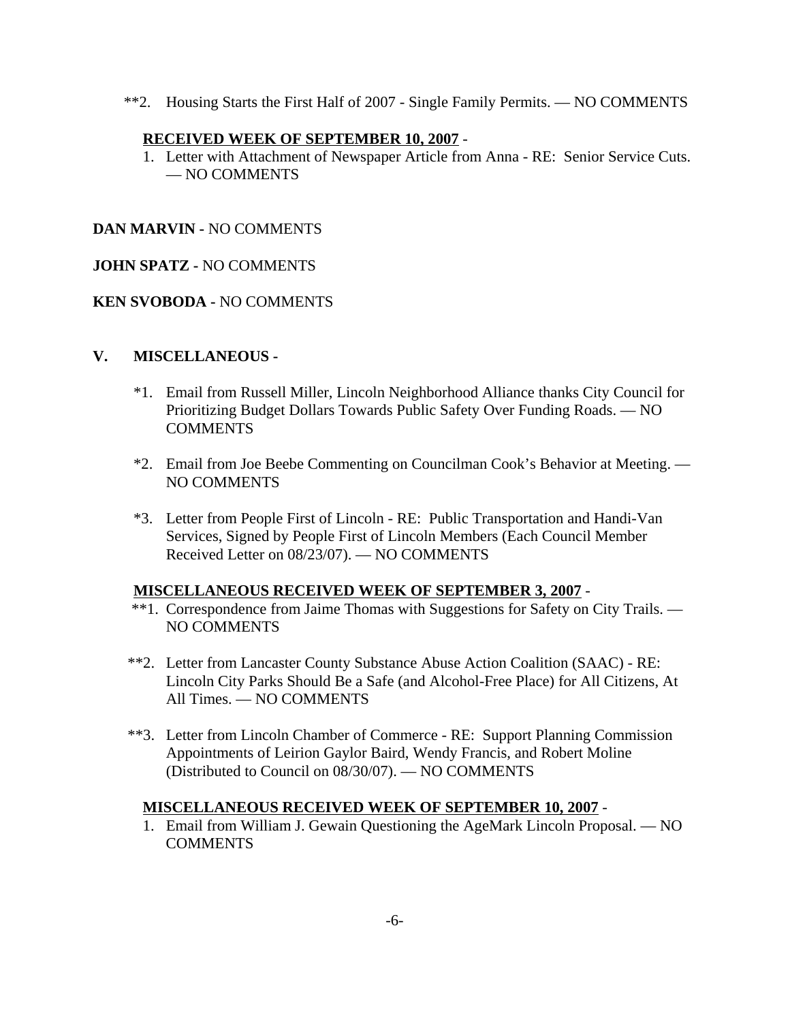\*\*2. Housing Starts the First Half of 2007 - Single Family Permits. — NO COMMENTS

### **RECEIVED WEEK OF SEPTEMBER 10, 2007** -

 1. Letter with Attachment of Newspaper Article from Anna - RE: Senior Service Cuts. — NO COMMENTS

### **DAN MARVIN -** NO COMMENTS

### **JOHN SPATZ -** NO COMMENTS

### **KEN SVOBODA -** NO COMMENTS

### **V. MISCELLANEOUS -**

- \*1. Email from Russell Miller, Lincoln Neighborhood Alliance thanks City Council for Prioritizing Budget Dollars Towards Public Safety Over Funding Roads. — NO COMMENTS
- \*2. Email from Joe Beebe Commenting on Councilman Cook's Behavior at Meeting. NO COMMENTS
- \*3. Letter from People First of Lincoln RE: Public Transportation and Handi-Van Services, Signed by People First of Lincoln Members (Each Council Member Received Letter on 08/23/07). — NO COMMENTS

### **MISCELLANEOUS RECEIVED WEEK OF SEPTEMBER 3, 2007** -

- \*\*1. Correspondence from Jaime Thomas with Suggestions for Safety on City Trails. NO COMMENTS
- \*\*2. Letter from Lancaster County Substance Abuse Action Coalition (SAAC) RE: Lincoln City Parks Should Be a Safe (and Alcohol-Free Place) for All Citizens, At All Times. — NO COMMENTS
- \*\*3. Letter from Lincoln Chamber of Commerce RE: Support Planning Commission Appointments of Leirion Gaylor Baird, Wendy Francis, and Robert Moline (Distributed to Council on 08/30/07). — NO COMMENTS

### **MISCELLANEOUS RECEIVED WEEK OF SEPTEMBER 10, 2007** -

 1. Email from William J. Gewain Questioning the AgeMark Lincoln Proposal. — NO **COMMENTS**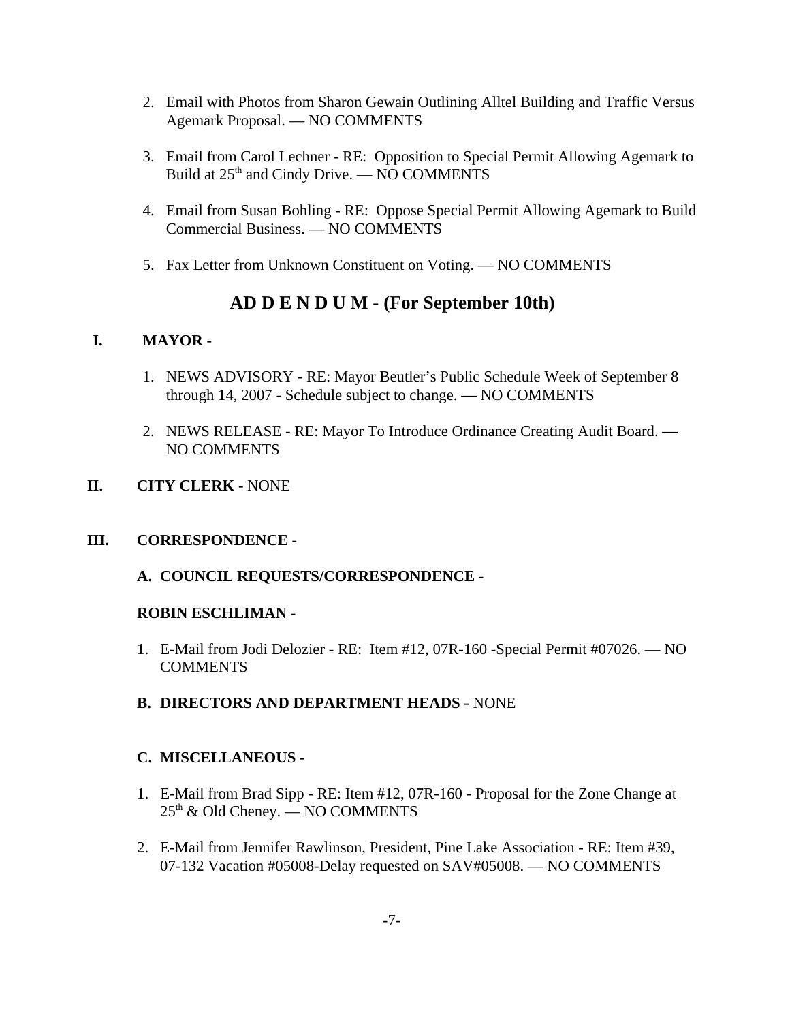- 2. Email with Photos from Sharon Gewain Outlining Alltel Building and Traffic Versus Agemark Proposal. — NO COMMENTS
- 3. Email from Carol Lechner RE: Opposition to Special Permit Allowing Agemark to Build at  $25<sup>th</sup>$  and Cindy Drive. — NO COMMENTS
- 4. Email from Susan Bohling RE: Oppose Special Permit Allowing Agemark to Build Commercial Business. — NO COMMENTS
- 5. Fax Letter from Unknown Constituent on Voting. NO COMMENTS

# **AD D E N D U M - (For September 10th)**

# **I. MAYOR -**

- 1. NEWS ADVISORY RE: Mayor Beutler's Public Schedule Week of September 8 through 14, 2007 - Schedule subject to change. **—** NO COMMENTS
- 2. NEWS RELEASE RE: Mayor To Introduce Ordinance Creating Audit Board. **—** NO COMMENTS
- **II. CITY CLERK** NONE

# **III. CORRESPONDENCE -**

**A. COUNCIL REQUESTS/CORRESPONDENCE** -

# **ROBIN ESCHLIMAN -**

- 1. E-Mail from Jodi Delozier RE: Item #12, 07R-160 -Special Permit #07026. NO COMMENTS
- **B. DIRECTORS AND DEPARTMENT HEADS** NONE

# **C. MISCELLANEOUS -**

- 1. E-Mail from Brad Sipp RE: Item #12, 07R-160 Proposal for the Zone Change at  $25<sup>th</sup>$  & Old Cheney. — NO COMMENTS
- 2. E-Mail from Jennifer Rawlinson, President, Pine Lake Association RE: Item #39, 07-132 Vacation #05008-Delay requested on SAV#05008. — NO COMMENTS